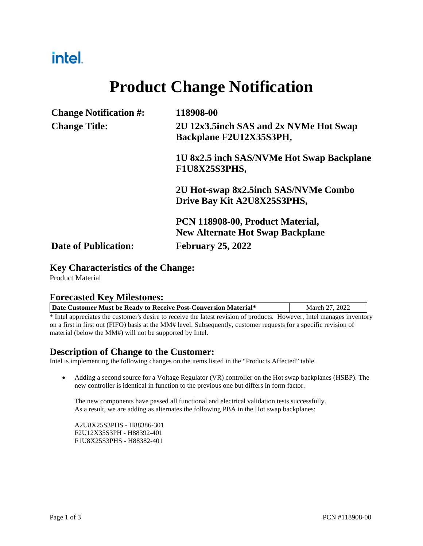## intel.

# **Product Change Notification**

| 118908-00                                 |
|-------------------------------------------|
| 2U 12x3.5inch SAS and 2x NVMe Hot Swap    |
| Backplane F2U12X35S3PH,                   |
| 1U 8x2.5 inch SAS/NVMe Hot Swap Backplane |
| F1U8X25S3PHS,                             |
| 2U Hot-swap 8x2.5inch SAS/NVMe Combo      |
| Drive Bay Kit A2U8X25S3PHS,               |
| PCN 118908-00, Product Material,          |
| <b>New Alternate Hot Swap Backplane</b>   |
| <b>February 25, 2022</b>                  |
|                                           |

#### **Key Characteristics of the Change:**

Product Material

### **Forecasted Key Milestones:**

| Date Customer Must be Ready to Receive Post-Conversion Material*                                                       | March 27, 2022 |
|------------------------------------------------------------------------------------------------------------------------|----------------|
| * Intel appreciates the customer's desire to receive the latest revision of products. However, Intel manages inventory |                |

on a first in first out (FIFO) basis at the MM# level. Subsequently, customer requests for a specific revision of material (below the MM#) will not be supported by Intel.

#### **Description of Change to the Customer:**

Intel is implementing the following changes on the items listed in the "Products Affected" table.

 Adding a second source for a Voltage Regulator (VR) controller on the Hot swap backplanes (HSBP). The new controller is identical in function to the previous one but differs in form factor.

The new components have passed all functional and electrical validation tests successfully. As a result, we are adding as alternates the following PBA in the Hot swap backplanes:

A2U8X25S3PHS - H88386-301 F2U12X35S3PH - H88392-401 F1U8X25S3PHS - H88382-401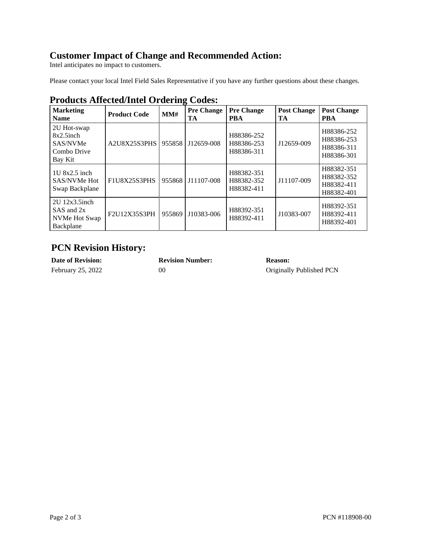### **Customer Impact of Change and Recommended Action:**

Intel anticipates no impact to customers.

Please contact your local Intel Field Sales Representative if you have any further questions about these changes.

| <b>Marketing</b><br><b>Name</b>                                   | <b>Product Code</b> | MM#    | <b>Pre Change</b><br>TA | <b>Pre Change</b><br><b>PBA</b>        | <b>Post Change</b><br>TA | <b>Post Change</b><br><b>PBA</b>                     |
|-------------------------------------------------------------------|---------------------|--------|-------------------------|----------------------------------------|--------------------------|------------------------------------------------------|
| 2U Hot-swap<br>$8x2.5$ inch<br>SAS/NVMe<br>Combo Drive<br>Bay Kit | A2U8X25S3PHS        | 955858 | J12659-008              | H88386-252<br>H88386-253<br>H88386-311 | J12659-009               | H88386-252<br>H88386-253<br>H88386-311<br>H88386-301 |
| $1U$ $8x2.5$ inch<br><b>SAS/NVMe Hot</b><br>Swap Backplane        | <b>F1U8X25S3PHS</b> | 955868 | J11107-008              | H88382-351<br>H88382-352<br>H88382-411 | J11107-009               | H88382-351<br>H88382-352<br>H88382-411<br>H88382-401 |
| $2U$ 12x3.5 $inch$<br>SAS and 2x<br>NVMe Hot Swap<br>Backplane    | F2U12X35S3PH        | 955869 | J10383-006              | H88392-351<br>H88392-411               | J10383-007               | H88392-351<br>H88392-411<br>H88392-401               |

#### **Products Affected/Intel Ordering Codes:**

### **PCN Revision History:**

**Date of Revision: Revision Number: Reason:**

## February 25, 2022 00 00 Originally Published PCN